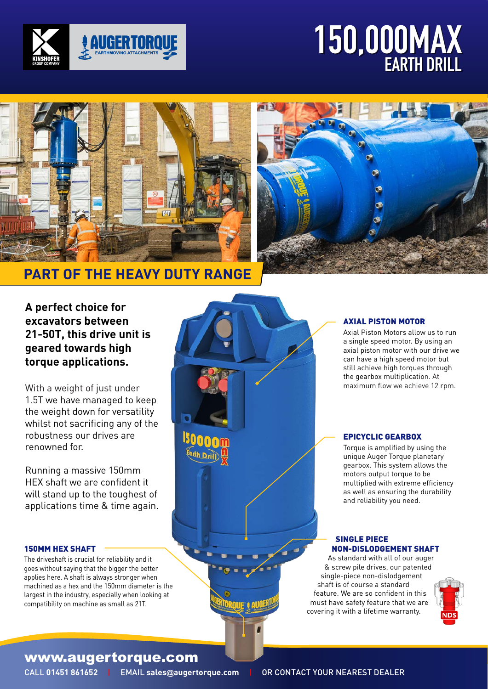

# 150,000MAX EARTH DRILL 150,000MAX EARTH DRILL





# **PART OF THE HEAVY DUTY RANGE**

**A perfect choice for excavators between 21-50T, this drive unit is geared towards high torque applications.**

With a weight of just under 1.5T we have managed to keep the weight down for versatility whilst not sacrificing any of the robustness our drives are renowned for.

Running a massive 150mm HEX shaft we are confident it will stand up to the toughest of applications time & time again.

#### 150MM HEX SHAFT

The driveshaft is crucial for reliability and it goes without saying that the bigger the better applies here. A shaft is always stronger when machined as a hex and the 150mm diameter is the largest in the industry, especially when looking at compatibility on machine as small as 21T.

#### AXIAL PISTON MOTOR

Axial Piston Motors allow us to run a single speed motor. By using an axial piston motor with our drive we can have a high speed motor but still achieve high torques through the gearbox multiplication. At maximum flow we achieve 12 rpm.

## EPICYCLIC GEARBOX

Torque is amplified by using the unique Auger Torque planetary gearbox. This system allows the motors output torque to be multiplied with extreme efficiency as well as ensuring the durability and reliability you need.

#### SINGLE PIECE NON-DISLODGEMENT SHAFT

As standard with all of our auger & screw pile drives, our patented single-piece non-dislodgement shaft is of course a standard feature. We are so confident in this must have safety feature that we are covering it with a lifetime warranty.



# www.augertorque.com